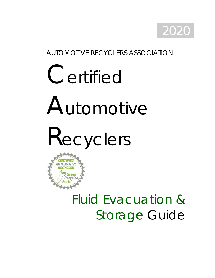

### AUTOMOTIVE RECYCLERS ASSOCIATION

# Certified Automotive

Recyclers



# Fluid Evacuation & Storage Guide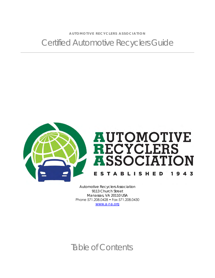A U TO MOTIVE RECYCLERS ASSOCIATION Certified Automotive Recyclers Guide



Automotive Recyclers Association 9113 Church Street Manassas, VA 20110 USA Phone 571.208.0428 • Fax 571.208.0430 [www.a-r-a.org](http://www.a-r-a.org/)

# Table of Contents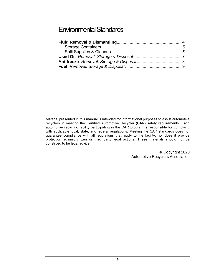Material presented in this manual is intended for informational purposes to assist automotive recyclers in meeting the Certified Automotive Recycler (CAR) safety requirements. Each automotive recycling facility participating in the CAR program is responsible for complying with applicable local, state, and federal regulations. Meeting the CAR standards does not guarantee compliance with all regulations that apply to the facility, nor does it provide protection against citizen or third party legal actions. These materials should not be construed to be legal advice.

> © Copyright 2020 Automotive Recyclers Association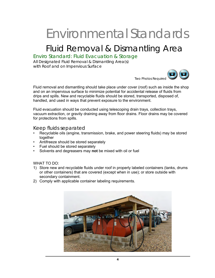# Fluid Removal & Dismantling Area

#### Enviro Standard: Fluid Evacuation & Storage

All Designated Fluid Removal & Dismantling Area(s) with Roof and on Impervious Surface



Fluid removal and dismantling should take place under cover (roof) such as inside the shop and on an impervious surface to minimize potential for accidental release of fluids from drips and spills. New and recyclable fluids should be stored, transported, disposed of, handled, and used in ways that prevent exposure to the environment.

Fluid evacuation should be conducted using telescoping drain trays, collection trays, vacuum extraction, or gravity draining away from floor drains. Floor drains may be covered for protections from spills.

#### Keep fluids separated

- Recyclable oils (engine, transmission, brake, and power steering fluids) may be stored together
- Antifreeze should be stored separately
- Fuel should be stored separately
- Solvents and degreasers may **not** be mixed with oil or fuel

WHAT TO DO:

- 1) Store new and recyclable fluids under roof in properly labeled containers (tanks, drums or other containers) that are covered (except when in use); or store outside with secondary containment.
- 2) Comply with applicable container labeling requirements.

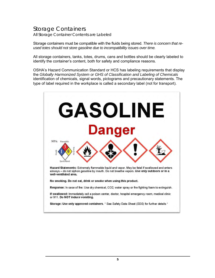#### Storage Containers All Storage Container Contents are Labeled

Storage containers must be compatible with the fluids being stored. *There is concern that reused totes should not store gasoline due to incompatibility issues over time.* 

All storage containers, tanks, totes, drums, cans and bottles should be clearly labeled to identify the container's content, both for safety and compliance reasons.

OSHA's Hazard Communication Standard or HCS has labeling requirements that display the *Globally Harmonized System or GHS of Classification and Labeling of Chemicals*  identification of chemicals, signal words, pictograms and precautionary statements. The type of label required in the workplace is called a secondary label (not for transport).

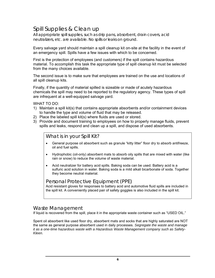#### Spill Supplies & Clean up

All appropriate spill supplies, such as drip pans, absorbent, drain covers, acid neutralizers, etc. are available. No spills or leaks on ground.

Every salvage yard should maintain a spill cleanup kit on-site at the facility in the event of an emergency spill. Spills have a few issues with which to be concerned.

First is the protection of employees (and customers) if the spill contains hazardous material. To accomplish this task the appropriate type of spill cleanup kit must be selected from the many choices available.

The second issue is to make sure that employees are trained on the use and locations of all spill cleanup kits.

Finally, if the quantity of material spilled is sizeable or made of acutely hazardous chemicals the spill may need to be reported to the regulatory agency. These types of spill are infrequent at a well-equipped salvage yard.

WHAT TO DO:

- 1) Maintain a spill kit(s) that contains appropriate absorbents and/or containment devices to handle the type and volume of fluid that may be released.
- 2) Place the labeled spill kit(s) where fluids are used or stored.
- 3) Provide and document training to employees on how to properly manage fluids, prevent spills and leaks, respond and clean up a spill, and dispose of used absorbents.

*What is in your Spill Kit?*

- General purpose oil absorbent such as granule "kitty litter" floor dry to absorb antifreeze, oil and fuel spills.
- Hydrophobic (oil-only) absorbent mats to absorb oily spills that are mixed with water (like rain or snow) to reduce the volume of waste material.
- Acid neutralizer for battery acid spills. Baking soda can be used. Battery acid is a sulfuric acid solution in water. Baking soda is a mild alkali bicarbonate of soda. Together they become neutral material.

#### *Personal Protective Equipment (PPE)*

Acid resistant gloves for responses to battery acid and automotive fluid spills are included in the spill kit. A conveniently placed pair of safety goggles is also included in the spill kit.

#### *Waste Management*

If liquid is recovered from the spill, place it in the appropriate waste container such as "USED OIL."

Spent oil absorbent like used floor dry, absorbent mats and socks that are highly saturated are NOT the same as general purpose absorbent used in daily processes. *Segregate the waste and manage it as a one-time hazardous waste with a Hazardous Waste Management company such as Safety-Kleen.*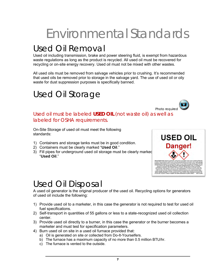## Used Oil Removal

Used oil including transmission, brake and power steering fluid, is exempt from hazardous waste regulations as long as the product is recycled. All used oil must be recovered for recycling or on-site energy recovery. Used oil must not be mixed with other wastes.

All used oils must be removed from salvage vehicles prior to crushing. It's recommended that used oils be removed prior to storage in the salvage yard. The use of used oil or oily waste for dust suppression purposes is specifically banned.

### Used Oil Storage



#### Used oil must be labeled **USED OIL** (not waste oil) as well as labeled for OSHA requirements.

On-Site Storage of used oil must meet the following standards:

- 1) Containers and storage tanks must be in good condition.
- 2) Containers must be clearly marked "**Used Oil**."
- 3) Fill pipes for underground used oil storage must be clearly marked "**Used Oil**."



### Used Oil Disposal

A used oil generator is the original producer of the used oil. Recycling options for generators of used oil include the following:

- 1) Provide used oil to a marketer, in this case the generator is not required to test for used oil fuel specifications.
- 2) Self-transport in quantities of 55 gallons or less to a state-recognized used oil collection center.
- 3) Provide used oil directly to a burner, in this case the generator or the burner becomes a marketer and must test for specification parameters.
- 4) Burn used oil on site in a used oil furnace provided that:
	- a) Oil is generated on site or collected from Do-It-Yourselfers.
	- b) The furnace has a maximum capacity of no more than 0.5 million BTU/hr.
	- c) The furnace is vented to the outside.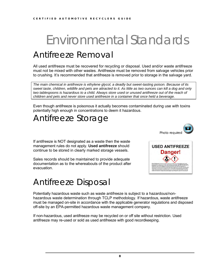# Environmental Standards Antifreeze Removal

All used antifreeze must be recovered for recycling or disposal. Used and/or waste antifreeze must not be mixed with other wastes. Antifreeze must be removed from salvage vehicles prior to crushing. It's recommended that antifreeze is removed prior to storage in the salvage yard.

*The main chemical in antifreeze is ethylene glycol, a deadly but sweet-tasting poison. Because of its sweet taste, children, wildlife and pets are attracted to it. As little as two ounces can kill a dog and only*  two tablespoons is hazardous to a child. Always store used or unused antifreeze out of the reach of *children and pets and never store used antifreeze in a container that once held a beverage.*

Even though antifreeze is poisonous it actually becomes contaminated during use with toxins potentially high enough in concentrations to deem it hazardous.

### Antifreeze Storage

If antifreeze is NOT designated as a waste then the waste management rules do not apply. **Used antifreeze** should continue to be stored in clearly marked storage vessels.

Sales records should be maintained to provide adequate documentation as to the whereabouts of the product after evacuation.

### Antifreeze Disposal

Potentially hazardous waste such as waste antifreeze is subject to a hazardous/nonhazardous waste determination through TCLP methodology. If hazardous, waste antifreeze must be managed on-site in accordance with the applicable generator regulations and disposed off-site by an EPA-permitted hazardous waste management company.

If non-hazardous, used antifreeze may be recycled on or off site without restriction. Used antifreeze may re-used or sold as used antifreeze with good recordkeeping.



Photo required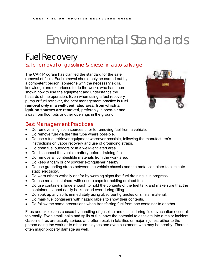# Fuel Recovery

Safe removal of gasoline & diesel in auto salvage

The CAR Program has clarified the standard for the safe removal of fuels. Fuel removal should only be carried out by a competent person (someone with the necessary skills, knowledge and experience to do the work), who has been shown how to use the equipment and understands the hazards of the operation. Even when using a fuel recovery pump or fuel retriever, the best management practice is **fuel removal** *only* **in a well-ventilated area, from which all ignition sources are removed**, preferably in open-air and away from floor pits or other openings in the ground.



#### Best Management Practices

- Do remove all ignition sources prior to removing fuel from a vehicle.
- Do remove fuel via the filler tube where possible.
- Do use a fuel retriever equipment wherever possible, following the manufacturer's instructions on vapor recovery and use of grounding straps.
- Do drain fuel outdoors or in a well-ventilated area.
- Do disconnect the vehicle battery before draining fuel.
- Do remove all combustible materials from the work area.
- Do keep a foam or dry powder extinguisher nearby.
- Do use grounding straps between the vehicle chassis and the metal container to eliminate static electricity.
- Do warn others verbally and/or by warning signs that fuel draining is in progress.
- Do use metal containers with secure caps for holding drained fuel.
- Do use containers large enough to hold the contents of the fuel tank and make sure that the containers cannot easily be knocked over during filling.
- Do soak up any spills immediately using absorbent granules or similar material.
- Do mark fuel containers with hazard labels to show their contents.
- Do follow the same precautions when transferring fuel from one container to another.

Fires and explosions caused by handling of gasoline and diesel during fluid evacuation occur all too easily. Even small leaks and spills of fuel have the potential to escalate into a major incident. Gasoline fires are usually serious and often result in fatalities or major injuries, either to the person doing the work or to other employees and even customers who may be nearby. There is often major property damage as well.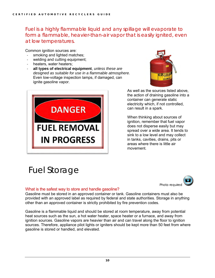Fuel is a highly flammable liquid and any spillage will evaporate to form a flammable, heavier-than-air vapor that is easily ignited, even at low temperatures.

Common ignition sources are:

- smoking and lighted matches;
- welding and cutting equipment;
- heaters, water heaters;
- **all types of electrical equipment**, *unless these are designed as suitable for use in a flammable atmosphere.* Even low-voltage inspection lamps, if damaged, can ignite gasoline vapor.





As well as the sources listed above, the action of draining gasoline into a container can generate static electricity which, if not controlled, can result in a spark.

When thinking about sources of ignition, remember that fuel vapor does not disperse easily but may spread over a wide area. It tends to sink to a low level and may collect in tanks, cavities, drains, pits or areas where there is little air movement.

# Fuel Storage



#### What is the safest way to store and handle gasoline?

Gasoline must be stored in an approved container or tank. Gasoline containers must also be provided with an approved label as required by federal and state authorities. Storage in anything other than an approved container is strictly prohibited by fire prevention codes.

Gasoline is a flammable liquid and should be stored at room temperature, away from potential heat sources such as the sun, a hot water heater, space heater or a furnace, and away from ignition sources. Gasoline vapors are heavier than air and can travel along the floor to ignition sources. Therefore, appliance pilot lights or igniters should be kept more than 50 feet from where gasoline is stored or handled, and elevated.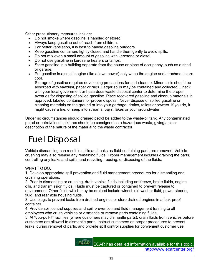Other precautionary measures include:

- Do not smoke where gasoline is handled or stored.
- Always keep gasoline out of reach from children.
- For better ventilation, it is best to handle gasoline outdoors.
- Keep gasoline containers tightly closed and handle them gently to avoid spills.
- Do not mix even a small amount of gasoline with kerosene or diesel.
- Do not use gasoline in kerosene heaters or lamps.
- Store gasoline in a building separate from the house or place of occupancy, such as a shed or garage.
- Put gasoline in a small engine (like a lawnmower) only when the engine and attachments are cool.

Storage of gasoline requires developing precautions for spill cleanup. Minor spills should be absorbed with sawdust, paper or rags. Larger spills may be contained and collected. Check with your local government or hazardous waste disposal center to determine the proper avenues for disposing of spilled gasoline. Place recovered gasoline and cleanup materials in approved, labeled containers for proper disposal. Never dispose of spilled gasoline or cleaning materials on the ground or into your garbage, drains, toilets or sewers. If you do, it might cause a fire, or seep into streams, bays, lakes or your groundwater.

Under no circumstances should drained petrol be added to the waste-oil tank. Any contaminated petrol or petrol/diesel mixtures should be consigned as a hazardous waste, giving a clear description of the nature of the material to the waste contractor.

# Fuel Disposal

Vehicle dismantling can result in spills and leaks as fluid-containing parts are removed. Vehicle crushing may also release any remaining fluids. Proper management includes draining the parts, controlling any leaks and spills, and recycling, reusing, or disposing of the fluids.

#### WHAT TO DO:

1. Develop appropriate spill prevention and fluid management procedures for dismantling and crushing operations.

2. Prior to dismantling or crushing, drain vehicle fluids including antifreeze, brake fluids, engine oils, and transmission fluids. Fluids must be captured or contained to prevent release to environment. Other fluids which may be drained include windshield washer fluid, power steering fluid, and rear axle housing fluids.

3. Use plugs to prevent leaks from drained engines or store drained engines in a leak-proof container.

4. Provide spill control supplies and spill prevention and fluid management training to all employees who crush vehicles or dismantle or remove parts containing fluids.

5. At "you-pull-it" facilities (where customers may dismantle parts), drain fluids from vehicles before customers are allowed to dismantle parts. Instruct customers on proper procedures to prevent leaks during removal of parts, and provide spill control supplies for convenient customer use.